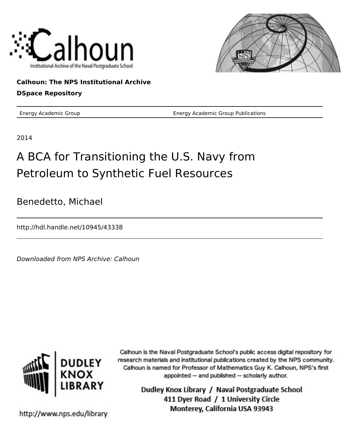



## **Calhoun: The NPS Institutional Archive**

## **DSpace Repository**

Energy Academic Group Energy Academic Group Publications

2014

## A BCA for Transitioning the U.S. Navy from Petroleum to Synthetic Fuel Resources

Benedetto, Michael

http://hdl.handle.net/10945/43338

Downloaded from NPS Archive: Calhoun



Calhoun is the Naval Postgraduate School's public access digital repository for research materials and institutional publications created by the NPS community. Calhoun is named for Professor of Mathematics Guy K. Calhoun, NPS's first appointed -- and published -- scholarly author.

> Dudley Knox Library / Naval Postgraduate School 411 Dyer Road / 1 University Circle Monterey, California USA 93943

http://www.nps.edu/library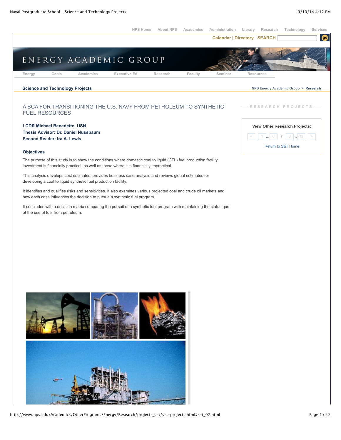

http://www.nps.edu/Academics/OtherPrograms/Energy/Research/projects\_s-t/s-t-projects.html#s-t\_07.html Page 1 of 2